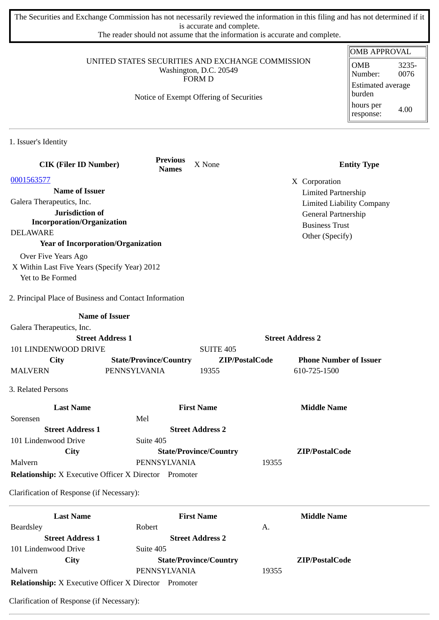The Securities and Exchange Commission has not necessarily reviewed the information in this filing and has not determined if it is accurate and complete.

The reader should not assume that the information is accurate and complete.

|                                                              |                                         |                                         |                         | <b>OMB APPROVAL</b>              |
|--------------------------------------------------------------|-----------------------------------------|-----------------------------------------|-------------------------|----------------------------------|
| UNITED STATES SECURITIES AND EXCHANGE COMMISSION             | <b>OMB</b><br>3235-                     |                                         |                         |                                  |
|                                                              |                                         | Washington, D.C. 20549<br><b>FORM D</b> |                         | 0076<br>Number:                  |
|                                                              |                                         |                                         |                         | Estimated average                |
|                                                              | Notice of Exempt Offering of Securities |                                         |                         | burden                           |
|                                                              |                                         |                                         |                         | hours per<br>4.00<br>response:   |
| 1. Issuer's Identity                                         |                                         |                                         |                         |                                  |
| <b>CIK (Filer ID Number)</b>                                 | <b>Previous</b><br><b>Names</b>         | X None                                  |                         | <b>Entity Type</b>               |
| 0001563577                                                   |                                         |                                         | X Corporation           |                                  |
| <b>Name of Issuer</b>                                        |                                         |                                         |                         | <b>Limited Partnership</b>       |
| Galera Therapeutics, Inc.                                    |                                         |                                         |                         | <b>Limited Liability Company</b> |
| Jurisdiction of                                              |                                         |                                         |                         | General Partnership              |
| <b>Incorporation/Organization</b>                            |                                         |                                         |                         | <b>Business Trust</b>            |
| <b>DELAWARE</b>                                              |                                         |                                         |                         | Other (Specify)                  |
| <b>Year of Incorporation/Organization</b>                    |                                         |                                         |                         |                                  |
| Over Five Years Ago                                          |                                         |                                         |                         |                                  |
| X Within Last Five Years (Specify Year) 2012                 |                                         |                                         |                         |                                  |
| Yet to Be Formed                                             |                                         |                                         |                         |                                  |
| 2. Principal Place of Business and Contact Information       |                                         |                                         |                         |                                  |
|                                                              | <b>Name of Issuer</b>                   |                                         |                         |                                  |
| Galera Therapeutics, Inc.                                    |                                         |                                         |                         |                                  |
|                                                              | <b>Street Address 1</b>                 |                                         | <b>Street Address 2</b> |                                  |
| 101 LINDENWOOD DRIVE                                         |                                         | <b>SUITE 405</b>                        |                         |                                  |
| City                                                         | <b>State/Province/Country</b>           |                                         | ZIP/PostalCode          | <b>Phone Number of Issuer</b>    |
| <b>MALVERN</b>                                               | PENNSYLVANIA                            | 19355                                   | 610-725-1500            |                                  |
| 3. Related Persons                                           |                                         |                                         |                         |                                  |
| <b>Last Name</b>                                             |                                         | <b>First Name</b>                       |                         | <b>Middle Name</b>               |
| Sorensen                                                     | Mel                                     |                                         |                         |                                  |
| <b>Street Address 1</b>                                      |                                         | <b>Street Address 2</b>                 |                         |                                  |
| 101 Lindenwood Drive                                         | Suite 405                               |                                         |                         |                                  |
| <b>City</b>                                                  |                                         | <b>State/Province/Country</b>           |                         | ZIP/PostalCode                   |
| Malvern                                                      | PENNSYLVANIA                            |                                         | 19355                   |                                  |
| <b>Relationship:</b> X Executive Officer X Director Promoter |                                         |                                         |                         |                                  |
| Clarification of Response (if Necessary):                    |                                         |                                         |                         |                                  |
| <b>Last Name</b>                                             |                                         | <b>First Name</b>                       |                         | <b>Middle Name</b>               |
| <b>Beardsley</b>                                             | Robert                                  |                                         | A.                      |                                  |
| <b>Street Address 1</b>                                      |                                         | <b>Street Address 2</b>                 |                         |                                  |
| 101 Lindenwood Drive                                         | Suite 405                               |                                         |                         |                                  |
| City                                                         |                                         | <b>State/Province/Country</b>           |                         | ZIP/PostalCode                   |

Clarification of Response (if Necessary):

**Relationship:** X Executive Officer X Director Promoter

Malvern PENNSYLVANIA 19355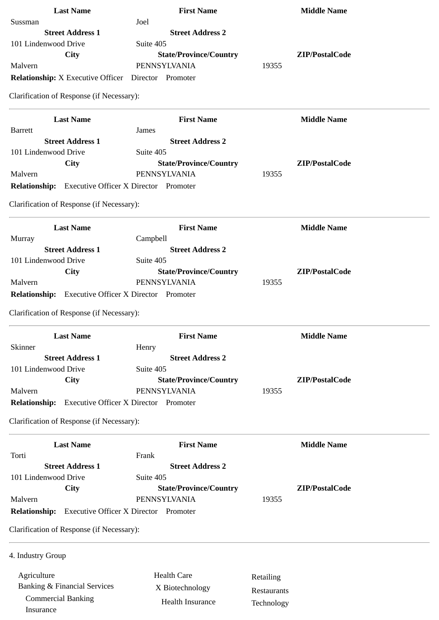| <b>Last Name</b>                                             | <b>First Name</b>                            |             | <b>Middle Name</b> |
|--------------------------------------------------------------|----------------------------------------------|-------------|--------------------|
| Sussman                                                      | Joel                                         |             |                    |
| <b>Street Address 1</b>                                      | <b>Street Address 2</b>                      |             |                    |
| 101 Lindenwood Drive                                         | Suite 405                                    |             |                    |
| City                                                         | <b>State/Province/Country</b>                |             | ZIP/PostalCode     |
| Malvern                                                      | PENNSYLVANIA                                 | 19355       |                    |
| <b>Relationship:</b> X Executive Officer  Director  Promoter |                                              |             |                    |
| Clarification of Response (if Necessary):                    |                                              |             |                    |
| <b>Last Name</b>                                             | <b>First Name</b>                            |             | <b>Middle Name</b> |
| <b>Barrett</b>                                               | James                                        |             |                    |
| <b>Street Address 1</b>                                      | <b>Street Address 2</b>                      |             |                    |
| 101 Lindenwood Drive                                         | Suite 405                                    |             |                    |
| <b>City</b>                                                  | <b>State/Province/Country</b>                |             | ZIP/PostalCode     |
| Malvern                                                      | PENNSYLVANIA                                 | 19355       |                    |
| <b>Relationship:</b> Executive Officer X Director Promoter   |                                              |             |                    |
| Clarification of Response (if Necessary):                    |                                              |             |                    |
| <b>Last Name</b>                                             | <b>First Name</b>                            |             | <b>Middle Name</b> |
| Murray                                                       | Campbell                                     |             |                    |
| <b>Street Address 1</b>                                      | <b>Street Address 2</b>                      |             |                    |
| 101 Lindenwood Drive                                         | Suite 405                                    |             |                    |
| City                                                         | <b>State/Province/Country</b>                |             | ZIP/PostalCode     |
| Malvern                                                      | PENNSYLVANIA                                 | 19355       |                    |
| Relationship: Executive Officer X Director Promoter          |                                              |             |                    |
| Clarification of Response (if Necessary):                    |                                              |             |                    |
| <b>Last Name</b>                                             | <b>First Name</b>                            |             | <b>Middle Name</b> |
| Skinner                                                      | Henry                                        |             |                    |
| <b>Street Address 1</b>                                      | <b>Street Address 2</b>                      |             |                    |
| 101 Lindenwood Drive                                         | Suite 405                                    |             |                    |
| City                                                         | <b>State/Province/Country</b>                |             | ZIP/PostalCode     |
| Malvern                                                      | PENNSYLVANIA                                 | 19355       |                    |
| <b>Relationship:</b>                                         | <b>Executive Officer X Director Promoter</b> |             |                    |
| Clarification of Response (if Necessary):                    |                                              |             |                    |
| <b>Last Name</b>                                             | <b>First Name</b>                            |             | <b>Middle Name</b> |
| Torti                                                        | Frank                                        |             |                    |
| <b>Street Address 1</b>                                      | <b>Street Address 2</b>                      |             |                    |
| 101 Lindenwood Drive                                         | Suite 405                                    |             |                    |
| City                                                         | <b>State/Province/Country</b>                |             | ZIP/PostalCode     |
| Malvern                                                      | PENNSYLVANIA                                 | 19355       |                    |
| Relationship: Executive Officer X Director Promoter          |                                              |             |                    |
| Clarification of Response (if Necessary):                    |                                              |             |                    |
| 4. Industry Group                                            |                                              |             |                    |
|                                                              |                                              |             |                    |
| Agriculture                                                  | <b>Health Care</b>                           | Retailing   |                    |
| <b>Banking &amp; Financial Services</b>                      | X Biotechnology                              | Restaurants |                    |
| <b>Commercial Banking</b>                                    | Health Insurance                             | Technology  |                    |
| Insurance                                                    |                                              |             |                    |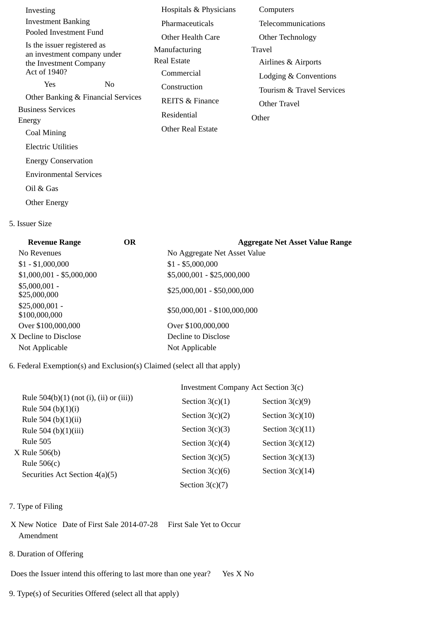| Investing                                                  |                | Hospitals & Physicians     | Computers                 |
|------------------------------------------------------------|----------------|----------------------------|---------------------------|
| <b>Investment Banking</b>                                  |                | Pharmaceuticals            | Telecommunications        |
| Pooled Investment Fund                                     |                | Other Health Care          | Other Technology          |
| Is the issuer registered as<br>an investment company under |                | Manufacturing              | Travel                    |
| the Investment Company                                     |                | Real Estate                | Airlines & Airports       |
| Act of 1940?                                               |                | Commercial                 | Lodging & Conventions     |
| Yes                                                        | N <sub>0</sub> | Construction               | Tourism & Travel Services |
| Other Banking & Financial Services                         |                | <b>REITS &amp; Finance</b> | Other Travel              |
| <b>Business Services</b>                                   |                | Residential                | Other                     |
| Energy<br>Coal Mining                                      |                | Other Real Estate          |                           |
| Electric Utilities                                         |                |                            |                           |
|                                                            |                |                            |                           |
| <b>Energy Conservation</b>                                 |                |                            |                           |
| <b>Environmental Services</b>                              |                |                            |                           |
| Oil & Gas                                                  |                |                            |                           |
| <b>Other Energy</b>                                        |                |                            |                           |

5. Issuer Size

| <b>Revenue Range</b>             | <b>OR</b> | <b>Aggregate Net Asset Value Range</b> |
|----------------------------------|-----------|----------------------------------------|
| No Revenues                      |           | No Aggregate Net Asset Value           |
| $$1 - $1,000,000$                |           | $$1 - $5,000,000$                      |
| $$1,000,001 - $5,000,000$        |           | \$5,000,001 - \$25,000,000             |
| $$5,000,001 -$<br>\$25,000,000   |           | \$25,000,001 - \$50,000,000            |
| $$25,000,001 -$<br>\$100,000,000 |           | \$50,000,001 - \$100,000,000           |
| Over \$100,000,000               |           | Over \$100,000,000                     |
| X Decline to Disclose            |           | Decline to Disclose                    |
| Not Applicable                   |           | Not Applicable                         |
|                                  |           |                                        |

6. Federal Exemption(s) and Exclusion(s) Claimed (select all that apply)

|                                                   | Investment Company Act Section 3(c) |                    |  |
|---------------------------------------------------|-------------------------------------|--------------------|--|
| Rule $504(b)(1)$ (not (i), (ii) or (iii))         | Section $3(c)(1)$                   | Section $3(c)(9)$  |  |
| Rule 504 (b) $(1)(i)$                             | Section $3(c)(2)$                   | Section $3(c)(10)$ |  |
| Rule 504 (b) $(1)(ii)$<br>Rule 504 (b) $(1)(iii)$ | Section $3(c)(3)$                   | Section $3(c)(11)$ |  |
| Rule 505                                          | Section $3(c)(4)$                   | Section $3(c)(12)$ |  |
| X Rule 506(b)                                     | Section $3(c)(5)$                   | Section $3(c)(13)$ |  |
| Rule $506(c)$                                     | Section $3(c)(6)$                   | Section $3(c)(14)$ |  |
| Securities Act Section 4(a)(5)                    | Section $3(c)(7)$                   |                    |  |

- 7. Type of Filing
- X New Notice Date of First Sale 2014-07-28 First Sale Yet to Occur Amendment
- 8. Duration of Offering

Does the Issuer intend this offering to last more than one year? Yes X No

9. Type(s) of Securities Offered (select all that apply)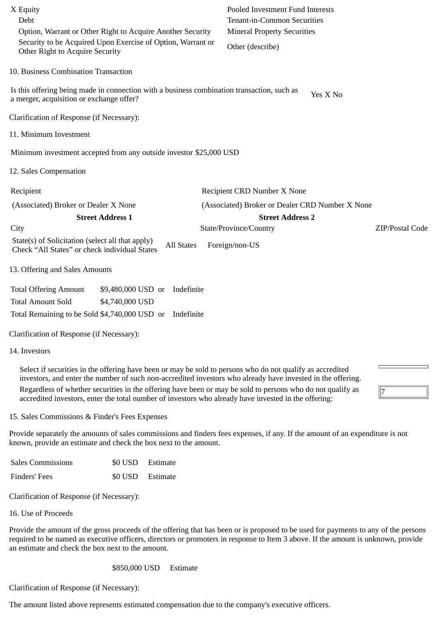| Security to be Acquired Upon Exercise of Option, Warrant or<br>Other (describe)<br>Other Right to Acquire Security<br>10. Business Combination Transaction<br>Is this offering being made in connection with a business combination transaction, such as<br>Yes X No<br>a merger, acquisition or exchange offer?<br>Clarification of Response (if Necessary):<br>11. Minimum Investment<br>Minimum investment accepted from any outside investor \$25,000 USD |  |
|---------------------------------------------------------------------------------------------------------------------------------------------------------------------------------------------------------------------------------------------------------------------------------------------------------------------------------------------------------------------------------------------------------------------------------------------------------------|--|
|                                                                                                                                                                                                                                                                                                                                                                                                                                                               |  |
|                                                                                                                                                                                                                                                                                                                                                                                                                                                               |  |
|                                                                                                                                                                                                                                                                                                                                                                                                                                                               |  |
|                                                                                                                                                                                                                                                                                                                                                                                                                                                               |  |
|                                                                                                                                                                                                                                                                                                                                                                                                                                                               |  |
|                                                                                                                                                                                                                                                                                                                                                                                                                                                               |  |
| 12. Sales Compensation                                                                                                                                                                                                                                                                                                                                                                                                                                        |  |
| Recipient<br>Recipient CRD Number X None                                                                                                                                                                                                                                                                                                                                                                                                                      |  |
| (Associated) Broker or Dealer CRD Number X None<br>(Associated) Broker or Dealer X None                                                                                                                                                                                                                                                                                                                                                                       |  |
| <b>Street Address 1</b><br><b>Street Address 2</b>                                                                                                                                                                                                                                                                                                                                                                                                            |  |
| ZIP/Postal Code<br>State/Province/Country<br>City                                                                                                                                                                                                                                                                                                                                                                                                             |  |
| State(s) of Solicitation (select all that apply)<br><b>All States</b><br>Foreign/non-US<br>Check "All States" or check individual States                                                                                                                                                                                                                                                                                                                      |  |
| 13. Offering and Sales Amounts                                                                                                                                                                                                                                                                                                                                                                                                                                |  |
| <b>Total Offering Amount</b><br>\$9,480,000 USD or<br>Indefinite                                                                                                                                                                                                                                                                                                                                                                                              |  |
| <b>Total Amount Sold</b><br>\$4,740,000 USD                                                                                                                                                                                                                                                                                                                                                                                                                   |  |
| Total Remaining to be Sold \$4,740,000 USD or<br>Indefinite                                                                                                                                                                                                                                                                                                                                                                                                   |  |
| Clarification of Response (if Necessary):                                                                                                                                                                                                                                                                                                                                                                                                                     |  |
| 14. Investors                                                                                                                                                                                                                                                                                                                                                                                                                                                 |  |
| Select if securities in the offering have been or may be sold to persons who do not qualify as accredited<br>investors, and enter the number of such non-accredited investors who already have invested in the offering.<br>Regardless of whether securities in the offering have been or may be sold to persons who do not qualify as<br>accredited investors, enter the total number of investors who already have invested in the offering:                |  |

15. Sales Commissions & Finder's Fees Expenses

Provide separately the amounts of sales commissions and finders fees expenses, if any. If the amount of an expenditure is not known, provide an estimate and check the box next to the amount.

| <b>Sales Commissions</b> | \$0 USD Estimate |
|--------------------------|------------------|
| Finders' Fees            | \$0 USD Estimate |

Clarification of Response (if Necessary):

16. Use of Proceeds

Provide the amount of the gross proceeds of the offering that has been or is proposed to be used for payments to any of the persons required to be named as executive officers, directors or promoters in response to Item 3 above. If the amount is unknown, provide an estimate and check the box next to the amount.

\$850,000 USD Estimate

Clarification of Response (if Necessary):

The amount listed above represents estimated compensation due to the company's executive officers.